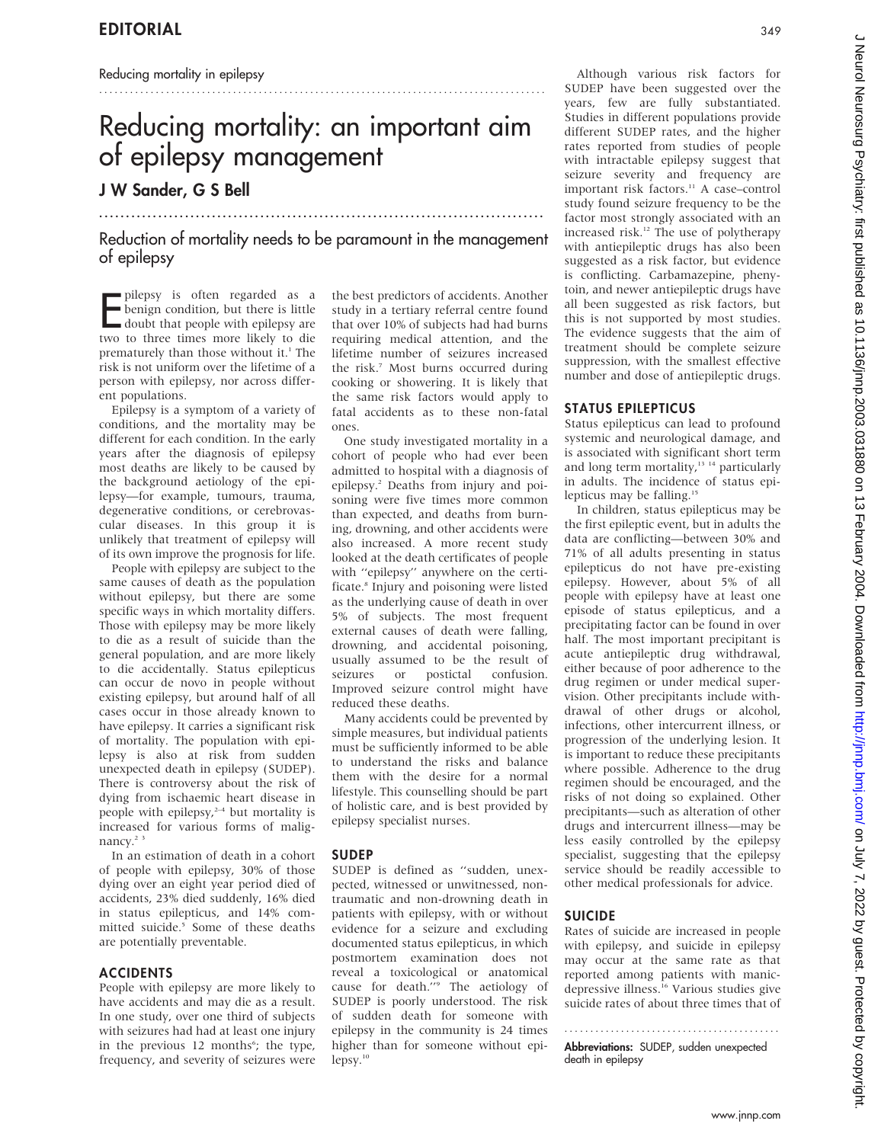# Reducing mortality: an important aim of epilepsy management J W Sander, G S Bell

.......................................................................................

# Reduction of mortality needs to be paramount in the management of epilepsy

pilepsy is often regarded as a benign condition, but there is little<br>doubt that people with epilepsy are<br>two to three times more likely to die benign condition, but there is little doubt that people with epilepsy are two to three times more likely to die prematurely than those without it.<sup>1</sup> The risk is not uniform over the lifetime of a person with epilepsy, nor across different populations.

Epilepsy is a symptom of a variety of conditions, and the mortality may be different for each condition. In the early years after the diagnosis of epilepsy most deaths are likely to be caused by the background aetiology of the epilepsy—for example, tumours, trauma, degenerative conditions, or cerebrovascular diseases. In this group it is unlikely that treatment of epilepsy will of its own improve the prognosis for life.

People with epilepsy are subject to the same causes of death as the population without epilepsy, but there are some specific ways in which mortality differs. Those with epilepsy may be more likely to die as a result of suicide than the general population, and are more likely to die accidentally. Status epilepticus can occur de novo in people without existing epilepsy, but around half of all cases occur in those already known to have epilepsy. It carries a significant risk of mortality. The population with epilepsy is also at risk from sudden unexpected death in epilepsy (SUDEP). There is controversy about the risk of dying from ischaemic heart disease in people with epilepsy, $2-4$  but mortality is increased for various forms of malignancy.<sup>23</sup>

In an estimation of death in a cohort of people with epilepsy, 30% of those dying over an eight year period died of accidents, 23% died suddenly, 16% died in status epilepticus, and 14% committed suicide.<sup>5</sup> Some of these deaths are potentially preventable.

#### ACCIDENTS

People with epilepsy are more likely to have accidents and may die as a result. In one study, over one third of subjects with seizures had had at least one injury in the previous 12 months<sup>6</sup>; the type, frequency, and severity of seizures were the best predictors of accidents. Another study in a tertiary referral centre found that over 10% of subjects had had burns requiring medical attention, and the lifetime number of seizures increased the risk.7 Most burns occurred during cooking or showering. It is likely that the same risk factors would apply to fatal accidents as to these non-fatal ones.

...................................................................................

One study investigated mortality in a cohort of people who had ever been admitted to hospital with a diagnosis of epilepsy.2 Deaths from injury and poisoning were five times more common than expected, and deaths from burning, drowning, and other accidents were also increased. A more recent study looked at the death certificates of people with ''epilepsy'' anywhere on the certificate.8 Injury and poisoning were listed as the underlying cause of death in over 5% of subjects. The most frequent external causes of death were falling, drowning, and accidental poisoning, usually assumed to be the result of seizures or postictal confusion. Improved seizure control might have reduced these deaths.

Many accidents could be prevented by simple measures, but individual patients must be sufficiently informed to be able to understand the risks and balance them with the desire for a normal lifestyle. This counselling should be part of holistic care, and is best provided by epilepsy specialist nurses.

#### **SUDEP**

SUDEP is defined as ''sudden, unexpected, witnessed or unwitnessed, nontraumatic and non-drowning death in patients with epilepsy, with or without evidence for a seizure and excluding documented status epilepticus, in which postmortem examination does not reveal a toxicological or anatomical cause for death.''9 The aetiology of SUDEP is poorly understood. The risk of sudden death for someone with epilepsy in the community is 24 times higher than for someone without epi $lepsy.<sup>10</sup>$ 

Although various risk factors for SUDEP have been suggested over the years, few are fully substantiated. Studies in different populations provide different SUDEP rates, and the higher rates reported from studies of people with intractable epilepsy suggest that seizure severity and frequency are important risk factors.<sup>11</sup> A case–control study found seizure frequency to be the factor most strongly associated with an increased risk.<sup>12</sup> The use of polytherapy with antiepileptic drugs has also been suggested as a risk factor, but evidence is conflicting. Carbamazepine, phenytoin, and newer antiepileptic drugs have all been suggested as risk factors, but this is not supported by most studies. The evidence suggests that the aim of treatment should be complete seizure suppression, with the smallest effective number and dose of antiepileptic drugs.

### STATUS EPILEPTICUS

Status epilepticus can lead to profound systemic and neurological damage, and is associated with significant short term and long term mortality, $13/14$  particularly in adults. The incidence of status epilepticus may be falling.<sup>15</sup>

In children, status epilepticus may be the first epileptic event, but in adults the data are conflicting—between 30% and 71% of all adults presenting in status epilepticus do not have pre-existing epilepsy. However, about 5% of all people with epilepsy have at least one episode of status epilepticus, and a precipitating factor can be found in over half. The most important precipitant is acute antiepileptic drug withdrawal, either because of poor adherence to the drug regimen or under medical supervision. Other precipitants include withdrawal of other drugs or alcohol, infections, other intercurrent illness, or progression of the underlying lesion. It is important to reduce these precipitants where possible. Adherence to the drug regimen should be encouraged, and the risks of not doing so explained. Other precipitants—such as alteration of other drugs and intercurrent illness—may be less easily controlled by the epilepsy specialist, suggesting that the epilepsy service should be readily accessible to other medical professionals for advice.

## SUICIDE

Rates of suicide are increased in people with epilepsy, and suicide in epilepsy may occur at the same rate as that reported among patients with manicdepressive illness.16 Various studies give suicide rates of about three times that of

.......................................... Abbreviations: SUDEP, sudden unexpected death in epilepsy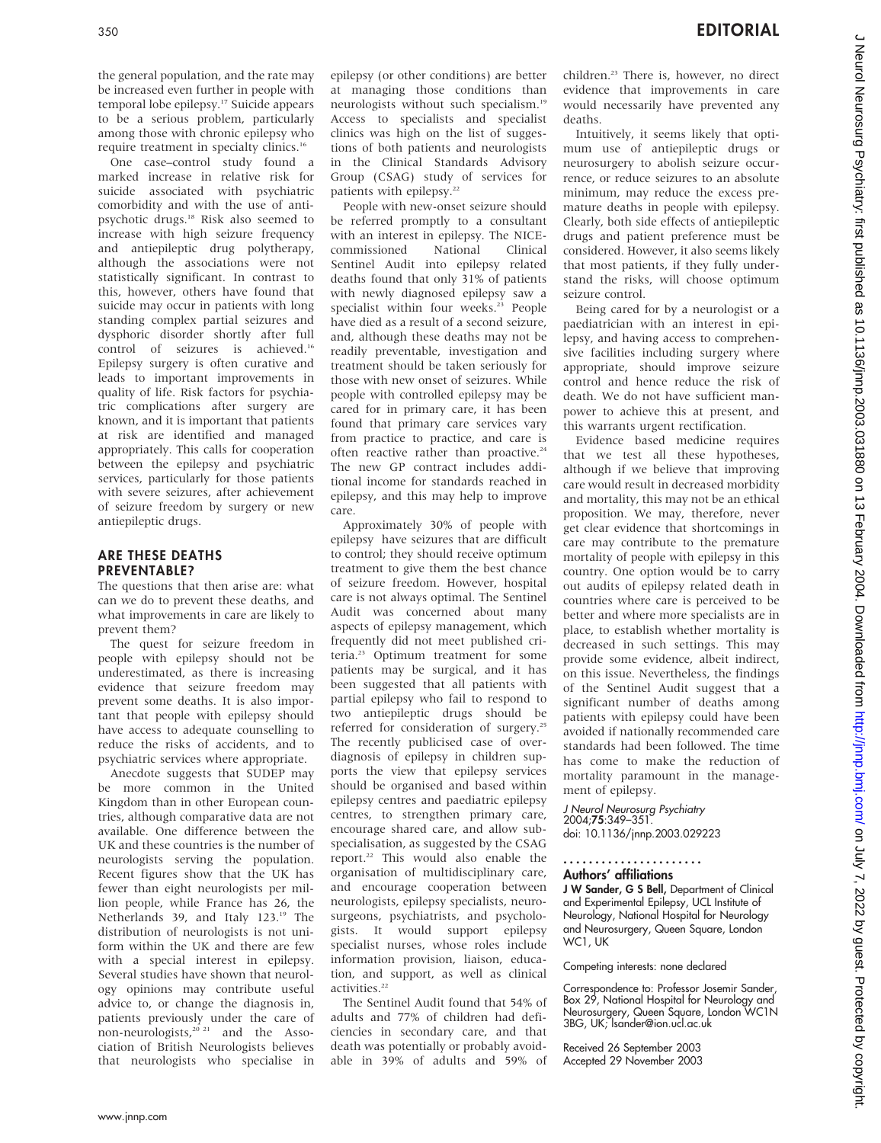the general population, and the rate may be increased even further in people with temporal lobe epilepsy.17 Suicide appears to be a serious problem, particularly among those with chronic epilepsy who require treatment in specialty clinics.16

One case–control study found a marked increase in relative risk for suicide associated with psychiatric comorbidity and with the use of antipsychotic drugs.18 Risk also seemed to increase with high seizure frequency and antiepileptic drug polytherapy, although the associations were not statistically significant. In contrast to this, however, others have found that suicide may occur in patients with long standing complex partial seizures and dysphoric disorder shortly after full control of seizures is achieved.<sup>16</sup> Epilepsy surgery is often curative and leads to important improvements in quality of life. Risk factors for psychiatric complications after surgery are known, and it is important that patients at risk are identified and managed appropriately. This calls for cooperation between the epilepsy and psychiatric services, particularly for those patients with severe seizures, after achievement of seizure freedom by surgery or new antiepileptic drugs.

### ARE THESE DEATHS PREVENTABLE?

The questions that then arise are: what can we do to prevent these deaths, and what improvements in care are likely to prevent them?

The quest for seizure freedom in people with epilepsy should not be underestimated, as there is increasing evidence that seizure freedom may prevent some deaths. It is also important that people with epilepsy should have access to adequate counselling to reduce the risks of accidents, and to psychiatric services where appropriate.

Anecdote suggests that SUDEP may be more common in the United Kingdom than in other European countries, although comparative data are not available. One difference between the UK and these countries is the number of neurologists serving the population. Recent figures show that the UK has fewer than eight neurologists per million people, while France has 26, the Netherlands 39, and Italy 123.<sup>19</sup> The distribution of neurologists is not uniform within the UK and there are few with a special interest in epilepsy. Several studies have shown that neurology opinions may contribute useful advice to, or change the diagnosis in, patients previously under the care of non-neurologists,<sup>20</sup><sup>21</sup> and the Association of British Neurologists believes that neurologists who specialise in

epilepsy (or other conditions) are better at managing those conditions than neurologists without such specialism.19 Access to specialists and specialist clinics was high on the list of suggestions of both patients and neurologists in the Clinical Standards Advisory Group (CSAG) study of services for patients with epilepsy.<sup>2</sup>

People with new-onset seizure should be referred promptly to a consultant with an interest in epilepsy. The NICE-<br>commissioned Mational Clinical commissioned Sentinel Audit into epilepsy related deaths found that only 31% of patients with newly diagnosed epilepsy saw a specialist within four weeks.<sup>23</sup> People have died as a result of a second seizure, and, although these deaths may not be readily preventable, investigation and treatment should be taken seriously for those with new onset of seizures. While people with controlled epilepsy may be cared for in primary care, it has been found that primary care services vary from practice to practice, and care is often reactive rather than proactive.<sup>24</sup> The new GP contract includes additional income for standards reached in epilepsy, and this may help to improve care.

Approximately 30% of people with epilepsy have seizures that are difficult to control; they should receive optimum treatment to give them the best chance of seizure freedom. However, hospital care is not always optimal. The Sentinel Audit was concerned about many aspects of epilepsy management, which frequently did not meet published criteria.23 Optimum treatment for some patients may be surgical, and it has been suggested that all patients with partial epilepsy who fail to respond to two antiepileptic drugs should be referred for consideration of surgery.25 The recently publicised case of overdiagnosis of epilepsy in children supports the view that epilepsy services should be organised and based within epilepsy centres and paediatric epilepsy centres, to strengthen primary care, encourage shared care, and allow subspecialisation, as suggested by the CSAG report.<sup>22</sup> This would also enable the organisation of multidisciplinary care, and encourage cooperation between neurologists, epilepsy specialists, neurosurgeons, psychiatrists, and psychologists. It would support epilepsy specialist nurses, whose roles include information provision, liaison, education, and support, as well as clinical activities.<sup>22</sup>

The Sentinel Audit found that 54% of adults and 77% of children had deficiencies in secondary care, and that death was potentially or probably avoidable in 39% of adults and 59% of children.23 There is, however, no direct evidence that improvements in care would necessarily have prevented any deaths.

Intuitively, it seems likely that optimum use of antiepileptic drugs or neurosurgery to abolish seizure occurrence, or reduce seizures to an absolute minimum, may reduce the excess premature deaths in people with epilepsy. Clearly, both side effects of antiepileptic drugs and patient preference must be considered. However, it also seems likely that most patients, if they fully understand the risks, will choose optimum seizure control.

Being cared for by a neurologist or a paediatrician with an interest in epilepsy, and having access to comprehensive facilities including surgery where appropriate, should improve seizure control and hence reduce the risk of death. We do not have sufficient manpower to achieve this at present, and this warrants urgent rectification.

Evidence based medicine requires that we test all these hypotheses, although if we believe that improving care would result in decreased morbidity and mortality, this may not be an ethical proposition. We may, therefore, never get clear evidence that shortcomings in care may contribute to the premature mortality of people with epilepsy in this country. One option would be to carry out audits of epilepsy related death in countries where care is perceived to be better and where more specialists are in place, to establish whether mortality is decreased in such settings. This may provide some evidence, albeit indirect, on this issue. Nevertheless, the findings of the Sentinel Audit suggest that a significant number of deaths among patients with epilepsy could have been avoided if nationally recommended care standards had been followed. The time has come to make the reduction of mortality paramount in the management of epilepsy.

J Neurol Neurosurg Psychiatry 2004;75:349–351. doi: 10.1136/jnnp.2003.029223

#### Authors' affiliations ......................

J W Sander, G S Bell, Department of Clinical and Experimental Epilepsy, UCL Institute of Neurology, National Hospital for Neurology and Neurosurgery, Queen Square, London WC1, UK

Competing interests: none declared

Correspondence to: Professor Josemir Sander, Box 29, National Hospital for Neurology and Neurosurgery, Queen Square, London WC1N 3BG, UK; lsander@ion.ucl.ac.uk

Received 26 September 2003 Accepted 29 November 2003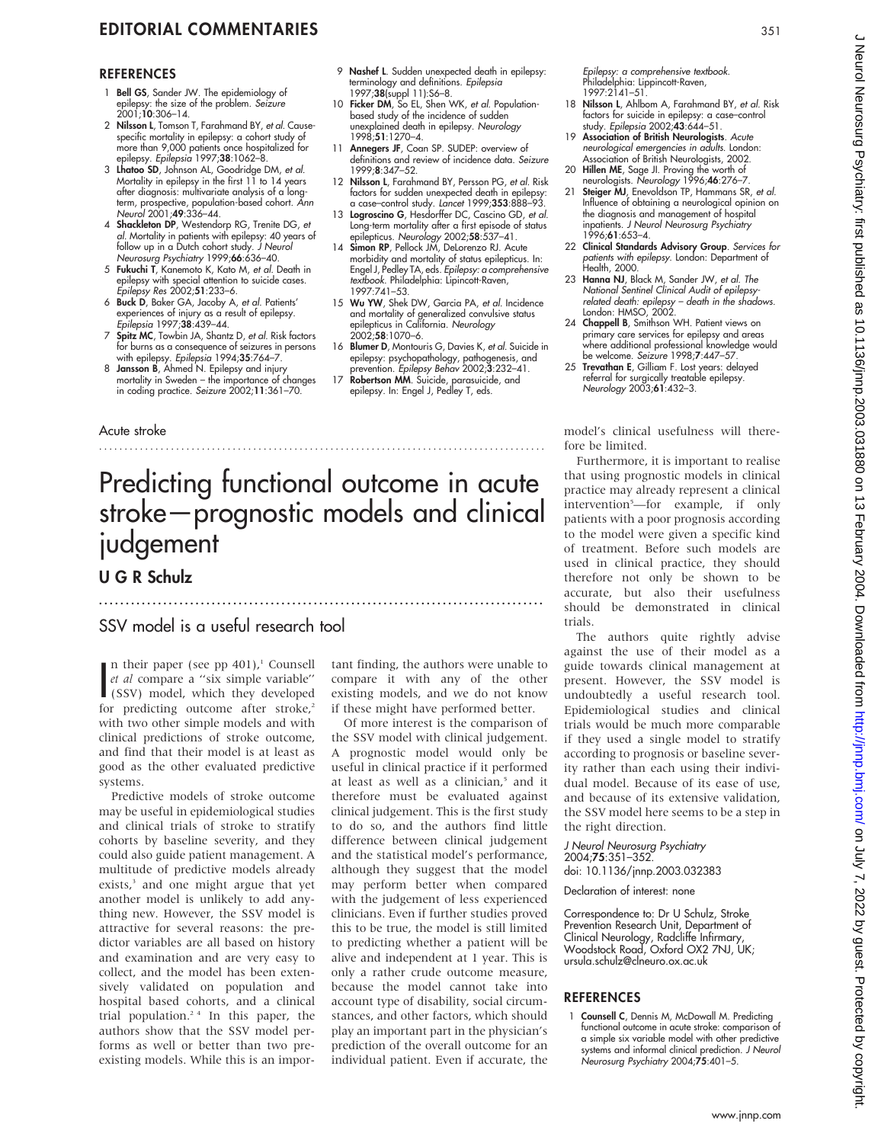# EDITORIAL COMMENTARIES <sup>351</sup>

#### **REFERENCES**

- 1 Bell GS, Sander JW. The epidemiology of epilepsy: the size of the problem. Seizure 2001;10:306–14.
- 2 Nilsson L, Tomson T, Farahmand BY, et al. Causespecific mortality in epilepsy: a cohort study of more than 9,000 patients once hospitalized for epilepsy. *Epilepsia* 1997;**38**:1062–8.
- 3 Lhatoo SD, Johnson AL, Goodridge DM, et al. Mortality in epilepsy in the first 11 to 14 years after diagnosis: multivariate analysis of a longterm, prospective, population-based cohort. Ann Neurol 2001;49:336–44.
- 4 Shackleton DP, Westendorp RG, Trenite DG, et al. Mortality in patients with epilepsy: 40 years of follow up in a Dutch cohort study. J Neurol Neurosurg Psychiatry 1999;66:636-40.
- 5 Fukuchi T, Kanemoto K, Kato M, et al. Death in epilepsy with special attention to suicide cases. Epilepsy Res 2002;51:233–6.
- 6 Buck D, Baker GA, Jacoby A, et al. Patients' experiences of injury as a result of epilepsy. Epilepsia 1997;38:439–44.
- Spitz MC, Towbin JA, Shantz D, et al. Risk factors for burns as a consequence of seizures in persons with epilepsy. Epilepsia 1994;35:764-7
- 8 Jansson B, Ahmed N. Epilepsy and injury mortality in Sweden – the importance of changes in coding practice. Seizure 2002;11:361–70.
- Acute stroke
- 9 Nashef L. Sudden unexpected death in epilepsy: terminology and definitions. Epilepsia 1997;38(suppl 11):S6–8.
- 10 Ficker DM, So EL, Shen WK, et al. Populationbased study of the incidence of sudden unexplained death in epilepsy. Neurology 1998;51:1270–4.
- 11 **Annegers JF**, Coan SP. SUDEP: overview of definitions and review of incidence data. Seizure 1999;8:347–52.
- 12 Nilsson L, Farahmand BY, Persson PG, et al. Risk factors for sudden unexpected death in epilepsy: a case–control study. Lancet 1999;353:888–93.
- 13 Logroscino G, Hesdorffer DC, Cascino GD, et al. Long-term mortality after a first episode of status
- epilepticus. Neurology 2002;58:537–41. 14 Simon RP, Pellock JM, DeLorenzo RJ. Acute morbidity and mortality of status epilepticus. In: Engel J, Pedley TA, eds. Epilepsy: a comprehensive textbook. Philadelphia: Lipincott-Raven, 1997:741–53.
- 15 Wu YW, Shek DW, Garcia PA, et al. Incidence and mortality of generalized convulsive status epilepticus in California. Neurology 2002;58:1070–6.
- 16 Blumer D, Montouris G, Davies K, et al. Suicide in epilepsy: psychopathology, pathogenesis, and prevention. Epilepsy Behav 2002;3:232–41.
- 17 Robertson MM. Suicide, parasuicide, and epilepsy. In: Engel J, Pedley T, eds.

Epilepsy: a comprehensive textbook. Philadelphia: Lippincott-Raven, 1997:2141–51.

- 18 Nilsson L, Ahlbom A, Farahmand BY, et al. Risk factors for suicide in epilepsy: a case–control study. Epilepsia 2002;43:644–51.
- 19 Association of British Neurologists. Acute neurological emergencies in adults. London: Association of British Neurologists, 2002.
- 20 Hillen ME, Sage JI. Proving the worth of neurologists. Neurology 1996;46:276–7. 21 Steiger MJ, Enevoldson TP, Hammans SR, et al.
- Influence of obtaining a neurological opinion on the diagnosis and management of hospital inpatients. J Neurol Neurosurg Psychiatry 1996;61:653–4.
- 22 Clinical Standards Advisory Group. Services for patients with epilepsy. London: Department of Health, 2000.
- 23 **Hanna NJ**, Black M, Sander JW, et al. The National Sentinel Clinical Audit of epilepsyrelated death: epilepsy – death in the shadows. London: HMSO, 2002.
- 24 Chappell B, Smithson WH. Patient views on primary care services for epilepsy and areas where additional professional knowledge would be welcome. Seizure 1998;7:447–57.
- 25 Trevathan E, Gilliam F. Lost years: delayed referral for surgically treatable epilepsy. Neurology 2003;61:432–3.

model's clinical usefulness will therefore be limited.

Furthermore, it is important to realise that using prognostic models in clinical practice may already represent a clinical intervention<sup>5</sup>—for example, if only patients with a poor prognosis according to the model were given a specific kind of treatment. Before such models are used in clinical practice, they should therefore not only be shown to be accurate, but also their usefulness should be demonstrated in clinical trials.

The authors quite rightly advise against the use of their model as a guide towards clinical management at present. However, the SSV model is undoubtedly a useful research tool. Epidemiological studies and clinical trials would be much more comparable if they used a single model to stratify according to prognosis or baseline severity rather than each using their individual model. Because of its ease of use, and because of its extensive validation, the SSV model here seems to be a step in the right direction.

## J Neurol Neurosurg Psychiatry 2004;75:351–352. doi: 10.1136/jnnp.2003.032383

Declaration of interest: none

Correspondence to: Dr U Schulz, Stroke Prevention Research Unit, Department of Clinical Neurology, Radcliffe Infirmary, Woodstock Road, Oxford OX2 7NJ, UK; ursula.schulz@clneuro.ox.ac.uk

## REFERENCES

1 **Counsell C**, Dennis M, McDowall M. Predicting functional outcome in acute stroke: comparison of a simple six variable model with other predictive systems and informal clinical prediction. J Neurol Neurosurg Psychiatry 2004;75:401–5.

www.jnnp.com

# Predicting functional outcome in acute stroke—prognostic models and clinical judgement

...................................................................................

.......................................................................................

U G R Schulz

# SSV model is a useful research tool

In their paper (see pp 401), Counsell<br> *et al* compare a "six simple variable"<br>
(SSV) model, which they developed<br>
for prodicting outcome after strakes<sup>2</sup> n their paper (see pp  $401$ ),<sup>1</sup> Counsell et al compare a ''six simple variable'' for predicting outcome after stroke, $2$ with two other simple models and with clinical predictions of stroke outcome, and find that their model is at least as good as the other evaluated predictive systems.

Predictive models of stroke outcome may be useful in epidemiological studies and clinical trials of stroke to stratify cohorts by baseline severity, and they could also guide patient management. A multitude of predictive models already exists,<sup>3</sup> and one might argue that yet another model is unlikely to add anything new. However, the SSV model is attractive for several reasons: the predictor variables are all based on history and examination and are very easy to collect, and the model has been extensively validated on population and hospital based cohorts, and a clinical trial population.<sup>24</sup> In this paper, the authors show that the SSV model performs as well or better than two preexisting models. While this is an important finding, the authors were unable to compare it with any of the other existing models, and we do not know if these might have performed better.

Of more interest is the comparison of the SSV model with clinical judgement. A prognostic model would only be useful in clinical practice if it performed at least as well as a clinician,<sup>5</sup> and it therefore must be evaluated against clinical judgement. This is the first study to do so, and the authors find little difference between clinical judgement and the statistical model's performance, although they suggest that the model may perform better when compared with the judgement of less experienced clinicians. Even if further studies proved this to be true, the model is still limited to predicting whether a patient will be alive and independent at 1 year. This is only a rather crude outcome measure, because the model cannot take into account type of disability, social circumstances, and other factors, which should play an important part in the physician's prediction of the overall outcome for an individual patient. Even if accurate, the